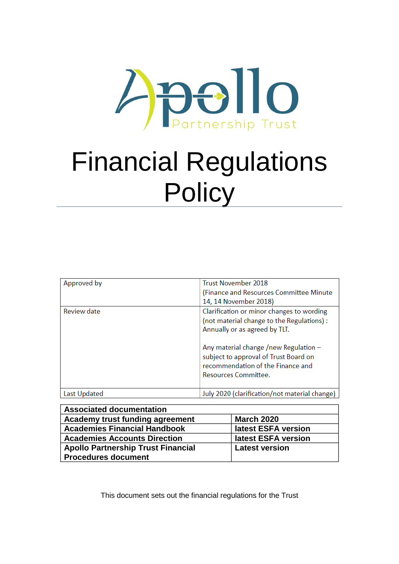

# Financial Regulations **Policy**

| Approved by  | <b>Trust November 2018</b>                                                                                                                    |
|--------------|-----------------------------------------------------------------------------------------------------------------------------------------------|
|              | (Finance and Resources Committee Minute                                                                                                       |
|              | 14, 14 November 2018)                                                                                                                         |
| Review date  | Clarification or minor changes to wording                                                                                                     |
|              | (not material change to the Regulations) :<br>Annually or as agreed by TLT.                                                                   |
|              | Any material change /new Regulation $-$<br>subject to approval of Trust Board on<br>recommendation of the Finance and<br>Resources Committee. |
|              |                                                                                                                                               |
| Last Updated | July 2020 (clarification/not material change)                                                                                                 |

| <b>Associated documentation</b>           |                       |
|-------------------------------------------|-----------------------|
| Academy trust funding agreement           | <b>March 2020</b>     |
| <b>Academies Financial Handbook</b>       | latest ESFA version   |
| <b>Academies Accounts Direction</b>       | latest ESFA version   |
| <b>Apollo Partnership Trust Financial</b> | <b>Latest version</b> |
| <b>Procedures document</b>                |                       |

This document sets out the financial regulations for the Trust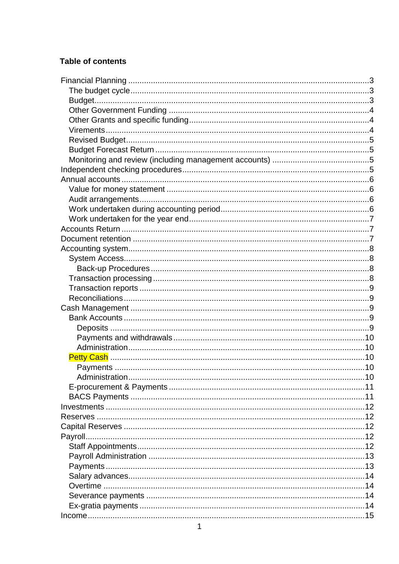### **Table of contents**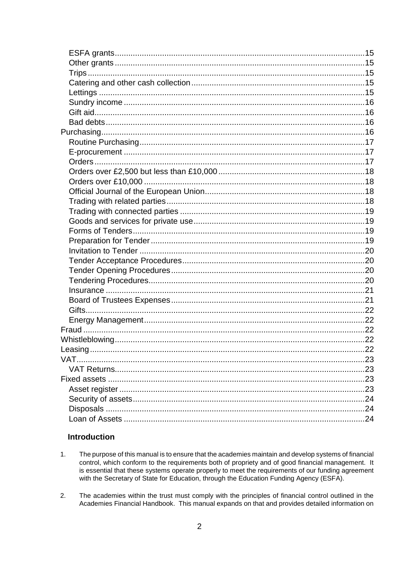### **Introduction**

- $\overline{1}$ . The purpose of this manual is to ensure that the academies maintain and develop systems of financial control, which conform to the requirements both of propriety and of good financial management. It is essential that these systems operate properly to meet the requirements of our funding agreement with the Secretary of State for Education, through the Education Funding Agency (ESFA).
- $2<sup>1</sup>$ The academies within the trust must comply with the principles of financial control outlined in the Academies Financial Handbook. This manual expands on that and provides detailed information on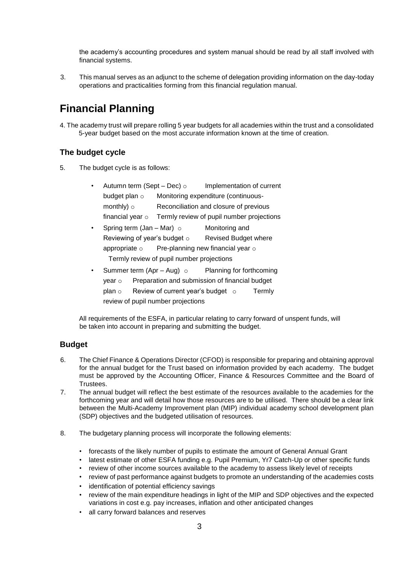the academy's accounting procedures and system manual should be read by all staff involved with financial systems.

3. This manual serves as an adjunct to the scheme of delegation providing information on the day-today operations and practicalities forming from this financial regulation manual.

# <span id="page-3-0"></span>**Financial Planning**

4. The academy trust will prepare rolling 5 year budgets for all academies within the trust and a consolidated 5-year budget based on the most accurate information known at the time of creation.

### <span id="page-3-1"></span>**The budget cycle**

5. The budget cycle is as follows:

|                                           | Autumn term (Sept – Dec) ○                                  |                                                             | Implementation of current   |        |
|-------------------------------------------|-------------------------------------------------------------|-------------------------------------------------------------|-----------------------------|--------|
|                                           | budget plan o                                               | Monitoring expenditure (continuous-                         |                             |        |
|                                           | monthly) $\circ$                                            | Reconciliation and closure of previous                      |                             |        |
|                                           | financial year $\circ$                                      | Termly review of pupil number projections                   |                             |        |
| $\bullet$                                 | Spring term (Jan – Mar) $\circ$                             |                                                             | Monitoring and              |        |
|                                           | Reviewing of year's budget $\circ$                          |                                                             | <b>Revised Budget where</b> |        |
|                                           | appropriate $\circ$ Pre-planning new financial year $\circ$ |                                                             |                             |        |
| Termly review of pupil number projections |                                                             |                                                             |                             |        |
| $\bullet$                                 |                                                             | Summer term (Apr – Aug) $\circ$<br>Planning for forthcoming |                             |        |
|                                           | year $\circ$                                                | Preparation and submission of financial budget              |                             |        |
|                                           | plan o                                                      | Review of current year's budget $\circ$                     |                             | Termly |

review of pupil number projections

All requirements of the ESFA, in particular relating to carry forward of unspent funds, will be taken into account in preparing and submitting the budget.

### <span id="page-3-2"></span>**Budget**

- 6. The Chief Finance & Operations Director (CFOD) is responsible for preparing and obtaining approval for the annual budget for the Trust based on information provided by each academy. The budget must be approved by the Accounting Officer, Finance & Resources Committee and the Board of Trustees.
- 7. The annual budget will reflect the best estimate of the resources available to the academies for the forthcoming year and will detail how those resources are to be utilised. There should be a clear link between the Multi-Academy Improvement plan (MIP) individual academy school development plan (SDP) objectives and the budgeted utilisation of resources.
- 8. The budgetary planning process will incorporate the following elements:
	- forecasts of the likely number of pupils to estimate the amount of General Annual Grant
	- latest estimate of other ESFA funding e.g. Pupil Premium, Yr7 Catch-Up or other specific funds
	- review of other income sources available to the academy to assess likely level of receipts
	- review of past performance against budgets to promote an understanding of the academies costs
	- identification of potential efficiency savings
	- review of the main expenditure headings in light of the MIP and SDP objectives and the expected variations in cost e.g. pay increases, inflation and other anticipated changes
	- all carry forward balances and reserves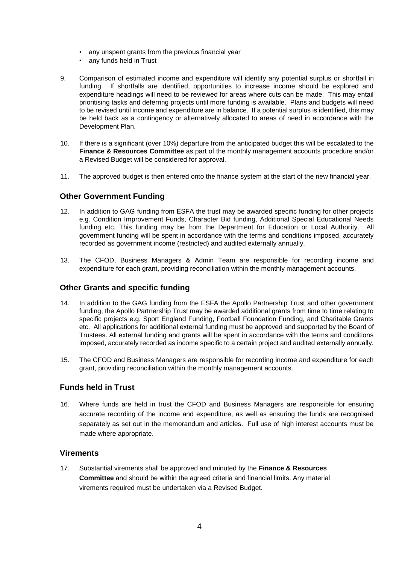- any unspent grants from the previous financial year
- any funds held in Trust
- 9. Comparison of estimated income and expenditure will identify any potential surplus or shortfall in funding. If shortfalls are identified, opportunities to increase income should be explored and expenditure headings will need to be reviewed for areas where cuts can be made. This may entail prioritising tasks and deferring projects until more funding is available. Plans and budgets will need to be revised until income and expenditure are in balance. If a potential surplus is identified, this may be held back as a contingency or alternatively allocated to areas of need in accordance with the Development Plan.
- 10. If there is a significant (over 10%) departure from the anticipated budget this will be escalated to the **Finance & Resources Committee** as part of the monthly management accounts procedure and/or a Revised Budget will be considered for approval.
- 11. The approved budget is then entered onto the finance system at the start of the new financial year.

### <span id="page-4-0"></span>**Other Government Funding**

- 12. In addition to GAG funding from ESFA the trust may be awarded specific funding for other projects e.g. Condition Improvement Funds, Character Bid funding, Additional Special Educational Needs funding etc. This funding may be from the Department for Education or Local Authority. All government funding will be spent in accordance with the terms and conditions imposed, accurately recorded as government income (restricted) and audited externally annually.
- 13. The CFOD, Business Managers & Admin Team are responsible for recording income and expenditure for each grant, providing reconciliation within the monthly management accounts.

#### <span id="page-4-1"></span>**Other Grants and specific funding**

- 14. In addition to the GAG funding from the ESFA the Apollo Partnership Trust and other government funding, the Apollo Partnership Trust may be awarded additional grants from time to time relating to specific projects e.g. Sport England Funding, Football Foundation Funding, and Charitable Grants etc. All applications for additional external funding must be approved and supported by the Board of Trustees. All external funding and grants will be spent in accordance with the terms and conditions imposed, accurately recorded as income specific to a certain project and audited externally annually.
- 15. The CFOD and Business Managers are responsible for recording income and expenditure for each grant, providing reconciliation within the monthly management accounts.

### **Funds held in Trust**

16. Where funds are held in trust the CFOD and Business Managers are responsible for ensuring accurate recording of the income and expenditure, as well as ensuring the funds are recognised separately as set out in the memorandum and articles. Full use of high interest accounts must be made where appropriate.

#### <span id="page-4-2"></span>**Virements**

17. Substantial virements shall be approved and minuted by the **Finance & Resources Committee** and should be within the agreed criteria and financial limits. Any material virements required must be undertaken via a Revised Budget.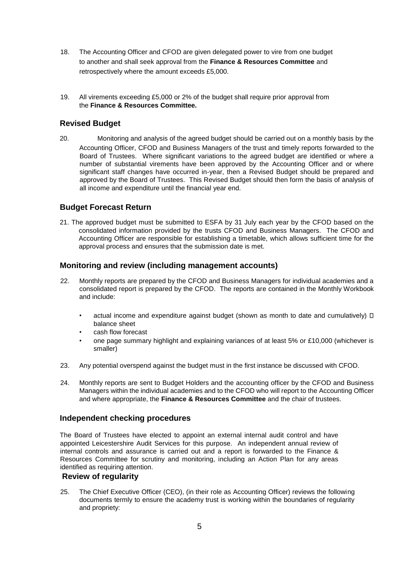- 18. The Accounting Officer and CFOD are given delegated power to vire from one budget to another and shall seek approval from the **Finance & Resources Committee** and retrospectively where the amount exceeds £5,000.
- 19. All virements exceeding £5,000 or 2% of the budget shall require prior approval from the **Finance & Resources Committee.**

### <span id="page-5-0"></span>**Revised Budget**

20. Monitoring and analysis of the agreed budget should be carried out on a monthly basis by the Accounting Officer, CFOD and Business Managers of the trust and timely reports forwarded to the Board of Trustees. Where significant variations to the agreed budget are identified or where a number of substantial virements have been approved by the Accounting Officer and or where significant staff changes have occurred in-year, then a Revised Budget should be prepared and approved by the Board of Trustees. This Revised Budget should then form the basis of analysis of all income and expenditure until the financial year end.

### <span id="page-5-1"></span>**Budget Forecast Return**

21. The approved budget must be submitted to ESFA by 31 July each year by the CFOD based on the consolidated information provided by the trusts CFOD and Business Managers. The CFOD and Accounting Officer are responsible for establishing a timetable, which allows sufficient time for the approval process and ensures that the submission date is met.

#### <span id="page-5-2"></span>**Monitoring and review (including management accounts)**

- 22. Monthly reports are prepared by the CFOD and Business Managers for individual academies and a consolidated report is prepared by the CFOD. The reports are contained in the Monthly Workbook and include:
	- actual income and expenditure against budget (shown as month to date and cumulatively)  $\Box$ balance sheet
	- cash flow forecast
	- one page summary highlight and explaining variances of at least 5% or £10,000 (whichever is smaller)
- 23. Any potential overspend against the budget must in the first instance be discussed with CFOD.
- 24. Monthly reports are sent to Budget Holders and the accounting officer by the CFOD and Business Managers within the individual academies and to the CFOD who will report to the Accounting Officer and where appropriate, the **Finance & Resources Committee** and the chair of trustees.

### <span id="page-5-3"></span>**Independent checking procedures**

The Board of Trustees have elected to appoint an external internal audit control and have appointed Leicestershire Audit Services for this purpose. An independent annual review of internal controls and assurance is carried out and a report is forwarded to the Finance & Resources Committee for scrutiny and monitoring, including an Action Plan for any areas identified as requiring attention.

#### **Review of regularity**

25. The Chief Executive Officer (CEO), (in their role as Accounting Officer) reviews the following documents termly to ensure the academy trust is working within the boundaries of regularity and propriety: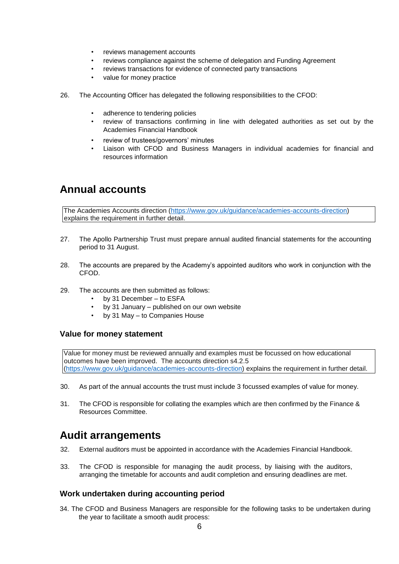- reviews management accounts
- reviews compliance against the scheme of delegation and Funding Agreement
- reviews transactions for evidence of connected party transactions
- value for money practice
- 26. The Accounting Officer has delegated the following responsibilities to the CFOD:
	- adherence to tendering policies
	- review of transactions confirming in line with delegated authorities as set out by the Academies Financial Handbook
	- review of trustees/governors' minutes
	- Liaison with CFOD and Business Managers in individual academies for financial and resources information

### <span id="page-6-0"></span>**Annual accounts**

The Academies Accounts direction [\(https://www.gov.uk/guidance/academies-accounts-direction\)](https://www.gov.uk/guidance/academies-accounts-direction) explains the requirement in further detail.

- 27. The Apollo Partnership Trust must prepare annual audited financial statements for the accounting period to 31 August.
- 28. The accounts are prepared by the Academy's appointed auditors who work in conjunction with the CFOD.
- 29. The accounts are then submitted as follows:
	- by 31 December to ESFA
	- by 31 January published on our own website
	- by 31 May to Companies House

### <span id="page-6-1"></span>**Value for money statement**

Value for money must be reviewed annually and examples must be focussed on how educational outcomes have been improved. The accounts direction s4.2.5 [\(https://www.gov.uk/guidance/academies-accounts-direction\)](https://www.gov.uk/guidance/academies-accounts-direction) explains the requirement in further detail.

- 30. As part of the annual accounts the trust must include 3 focussed examples of value for money.
- 31. The CFOD is responsible for collating the examples which are then confirmed by the Finance & Resources Committee.

### <span id="page-6-2"></span>**Audit arrangements**

- 32. External auditors must be appointed in accordance with the Academies Financial Handbook.
- 33. The CFOD is responsible for managing the audit process, by liaising with the auditors, arranging the timetable for accounts and audit completion and ensuring deadlines are met.

### <span id="page-6-3"></span>**Work undertaken during accounting period**

34. The CFOD and Business Managers are responsible for the following tasks to be undertaken during the year to facilitate a smooth audit process: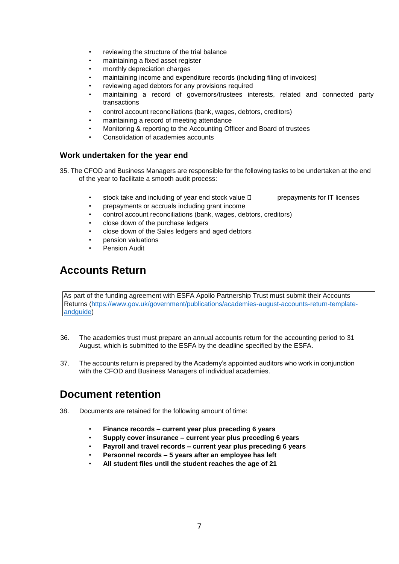- reviewing the structure of the trial balance
- maintaining a fixed asset register
- monthly depreciation charges
- maintaining income and expenditure records (including filing of invoices)
- reviewing aged debtors for any provisions required
- maintaining a record of governors/trustees interests, related and connected party transactions
- control account reconciliations (bank, wages, debtors, creditors)
- maintaining a record of meeting attendance
- Monitoring & reporting to the Accounting Officer and Board of trustees
- Consolidation of academies accounts

### <span id="page-7-0"></span>**Work undertaken for the year end**

- 35. The CFOD and Business Managers are responsible for the following tasks to be undertaken at the end of the year to facilitate a smooth audit process:
	- stock take and including of year end stock value  $\Box$  prepayments for IT licenses
	- prepayments or accruals including grant income
	- control account reconciliations (bank, wages, debtors, creditors)
	- close down of the purchase ledgers
	- close down of the Sales ledgers and aged debtors
	- pension valuations
	- Pension Audit

### <span id="page-7-1"></span>**Accounts Return**

As part of the funding agreement with ESFA Apollo Partnership Trust must submit their Accounts Returns [\(https://www.gov.uk/government/publications/academies-august-accounts-return-template](https://www.gov.uk/government/publications/academies-august-accounts-return-template-and-guide)[andguide\)](https://www.gov.uk/government/publications/academies-august-accounts-return-template-and-guide) 

- 36. The academies trust must prepare an annual accounts return for the accounting period to 31 August, which is submitted to the ESFA by the deadline specified by the ESFA.
- 37. The accounts return is prepared by the Academy's appointed auditors who work in conjunction with the CFOD and Business Managers of individual academies.

### <span id="page-7-2"></span>**Document retention**

- 38. Documents are retained for the following amount of time:
	- **Finance records – current year plus preceding 6 years**
	- **Supply cover insurance – current year plus preceding 6 years**
	- **Payroll and travel records – current year plus preceding 6 years**
	- **Personnel records – 5 years after an employee has left**
	- **All student files until the student reaches the age of 21**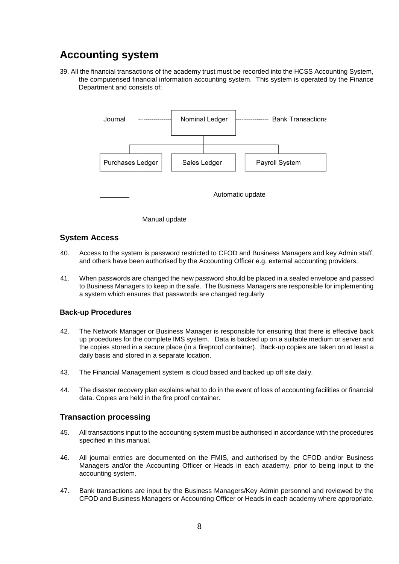## <span id="page-8-0"></span>**Accounting system**

39. All the financial transactions of the academy trust must be recorded into the HCSS Accounting System, the computerised financial information accounting system. This system is operated by the Finance Department and consists of:



### <span id="page-8-1"></span>**System Access**

- 40. Access to the system is password restricted to CFOD and Business Managers and key Admin staff, and others have been authorised by the Accounting Officer e.g. external accounting providers.
- 41. When passwords are changed the new password should be placed in a sealed envelope and passed to Business Managers to keep in the safe. The Business Managers are responsible for implementing a system which ensures that passwords are changed regularly

#### <span id="page-8-2"></span>**Back-up Procedures**

- 42. The Network Manager or Business Manager is responsible for ensuring that there is effective back up procedures for the complete IMS system. Data is backed up on a suitable medium or server and the copies stored in a secure place (in a fireproof container). Back-up copies are taken on at least a daily basis and stored in a separate location.
- 43. The Financial Management system is cloud based and backed up off site daily.
- 44. The disaster recovery plan explains what to do in the event of loss of accounting facilities or financial data. Copies are held in the fire proof container.

### <span id="page-8-3"></span>**Transaction processing**

- 45. All transactions input to the accounting system must be authorised in accordance with the procedures specified in this manual.
- 46. All journal entries are documented on the FMIS, and authorised by the CFOD and/or Business Managers and/or the Accounting Officer or Heads in each academy, prior to being input to the accounting system.
- 47. Bank transactions are input by the Business Managers/Key Admin personnel and reviewed by the CFOD and Business Managers or Accounting Officer or Heads in each academy where appropriate.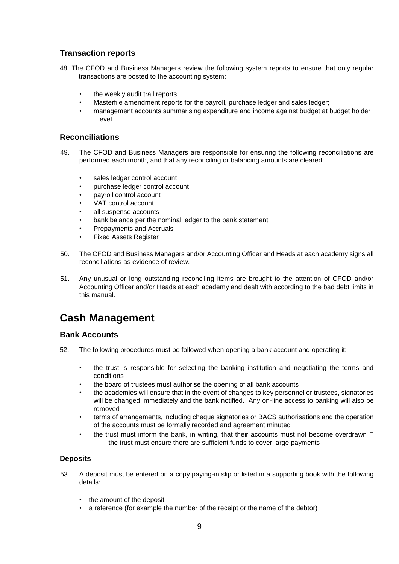### <span id="page-9-0"></span>**Transaction reports**

- 48. The CFOD and Business Managers review the following system reports to ensure that only regular transactions are posted to the accounting system:
	- the weekly audit trail reports;
	- Masterfile amendment reports for the payroll, purchase ledger and sales ledger;
	- management accounts summarising expenditure and income against budget at budget holder level

### <span id="page-9-1"></span>**Reconciliations**

- 49. The CFOD and Business Managers are responsible for ensuring the following reconciliations are performed each month, and that any reconciling or balancing amounts are cleared:
	- sales ledger control account
	- purchase ledger control account
	- payroll control account
	- VAT control account
	- all suspense accounts
	- bank balance per the nominal ledger to the bank statement
	- Prepayments and Accruals
	- Fixed Assets Register
- 50. The CFOD and Business Managers and/or Accounting Officer and Heads at each academy signs all reconciliations as evidence of review.
- 51. Any unusual or long outstanding reconciling items are brought to the attention of CFOD and/or Accounting Officer and/or Heads at each academy and dealt with according to the bad debt limits in this manual.

### <span id="page-9-2"></span>**Cash Management**

### <span id="page-9-3"></span>**Bank Accounts**

- 52. The following procedures must be followed when opening a bank account and operating it:
	- the trust is responsible for selecting the banking institution and negotiating the terms and conditions
	- the board of trustees must authorise the opening of all bank accounts
	- the academies will ensure that in the event of changes to key personnel or trustees, signatories will be changed immediately and the bank notified. Any on-line access to banking will also be removed
	- terms of arrangements, including cheque signatories or BACS authorisations and the operation of the accounts must be formally recorded and agreement minuted
	- the trust must inform the bank, in writing, that their accounts must not become overdrawn  $\square$ the trust must ensure there are sufficient funds to cover large payments

#### <span id="page-9-4"></span>**Deposits**

- 53. A deposit must be entered on a copy paying-in slip or listed in a supporting book with the following details:
	- the amount of the deposit
	- a reference (for example the number of the receipt or the name of the debtor)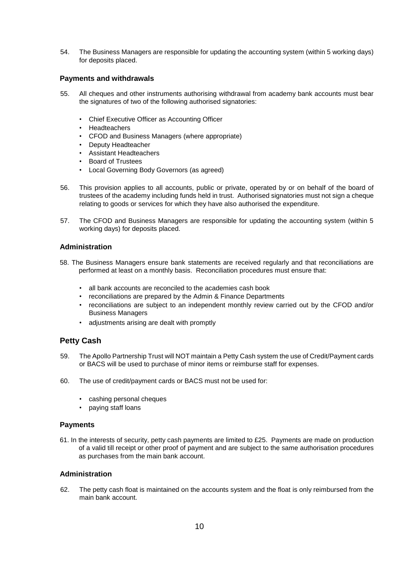54. The Business Managers are responsible for updating the accounting system (within 5 working days) for deposits placed.

#### <span id="page-10-0"></span>**Payments and withdrawals**

- 55. All cheques and other instruments authorising withdrawal from academy bank accounts must bear the signatures of two of the following authorised signatories:
	- Chief Executive Officer as Accounting Officer
	- Headteachers
	- CFOD and Business Managers (where appropriate)
	- Deputy Headteacher
	- Assistant Headteachers
	- Board of Trustees
	- Local Governing Body Governors (as agreed)
- 56. This provision applies to all accounts, public or private, operated by or on behalf of the board of trustees of the academy including funds held in trust. Authorised signatories must not sign a cheque relating to goods or services for which they have also authorised the expenditure.
- 57. The CFOD and Business Managers are responsible for updating the accounting system (within 5 working days) for deposits placed.

#### <span id="page-10-1"></span>**Administration**

- 58. The Business Managers ensure bank statements are received regularly and that reconciliations are performed at least on a monthly basis. Reconciliation procedures must ensure that:
	- all bank accounts are reconciled to the academies cash book
	- reconciliations are prepared by the Admin & Finance Departments
	- reconciliations are subject to an independent monthly review carried out by the CFOD and/or Business Managers
	- adjustments arising are dealt with promptly

### <span id="page-10-2"></span>**Petty Cash**

- 59. The Apollo Partnership Trust will NOT maintain a Petty Cash system the use of Credit/Payment cards or BACS will be used to purchase of minor items or reimburse staff for expenses.
- 60. The use of credit/payment cards or BACS must not be used for:
	- cashing personal cheques
	- paying staff loans

#### <span id="page-10-3"></span>**Payments**

61. In the interests of security, petty cash payments are limited to £25. Payments are made on production of a valid till receipt or other proof of payment and are subject to the same authorisation procedures as purchases from the main bank account.

#### <span id="page-10-4"></span>**Administration**

62. The petty cash float is maintained on the accounts system and the float is only reimbursed from the main bank account.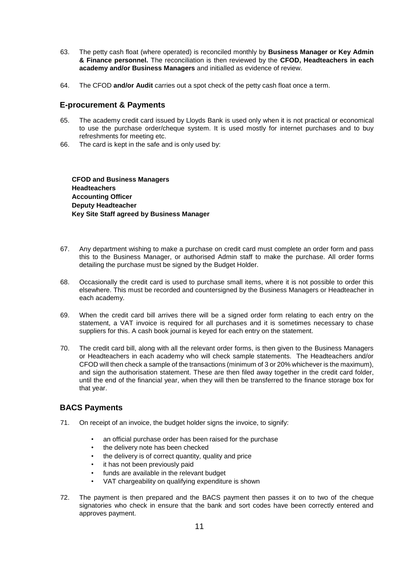- 63. The petty cash float (where operated) is reconciled monthly by **Business Manager or Key Admin & Finance personnel.** The reconciliation is then reviewed by the **CFOD, Headteachers in each academy and/or Business Managers** and initialled as evidence of review.
- 64. The CFOD **and/or Audit** carries out a spot check of the petty cash float once a term.

#### <span id="page-11-0"></span>**E-procurement & Payments**

- 65. The academy credit card issued by Lloyds Bank is used only when it is not practical or economical to use the purchase order/cheque system. It is used mostly for internet purchases and to buy refreshments for meeting etc.
- 66. The card is kept in the safe and is only used by:

**CFOD and Business Managers Headteachers Accounting Officer Deputy Headteacher Key Site Staff agreed by Business Manager** 

- 67. Any department wishing to make a purchase on credit card must complete an order form and pass this to the Business Manager, or authorised Admin staff to make the purchase. All order forms detailing the purchase must be signed by the Budget Holder.
- 68. Occasionally the credit card is used to purchase small items, where it is not possible to order this elsewhere. This must be recorded and countersigned by the Business Managers or Headteacher in each academy.
- 69. When the credit card bill arrives there will be a signed order form relating to each entry on the statement, a VAT invoice is required for all purchases and it is sometimes necessary to chase suppliers for this. A cash book journal is keyed for each entry on the statement.
- 70. The credit card bill, along with all the relevant order forms, is then given to the Business Managers or Headteachers in each academy who will check sample statements. The Headteachers and/or CFOD will then check a sample of the transactions (minimum of 3 or 20% whichever is the maximum), and sign the authorisation statement. These are then filed away together in the credit card folder, until the end of the financial year, when they will then be transferred to the finance storage box for that year.

### <span id="page-11-1"></span>**BACS Payments**

- 71. On receipt of an invoice, the budget holder signs the invoice, to signify:
	- an official purchase order has been raised for the purchase
	- the delivery note has been checked
	- the delivery is of correct quantity, quality and price
	- it has not been previously paid
	- funds are available in the relevant budget
	- VAT chargeability on qualifying expenditure is shown
- 72. The payment is then prepared and the BACS payment then passes it on to two of the cheque signatories who check in ensure that the bank and sort codes have been correctly entered and approves payment.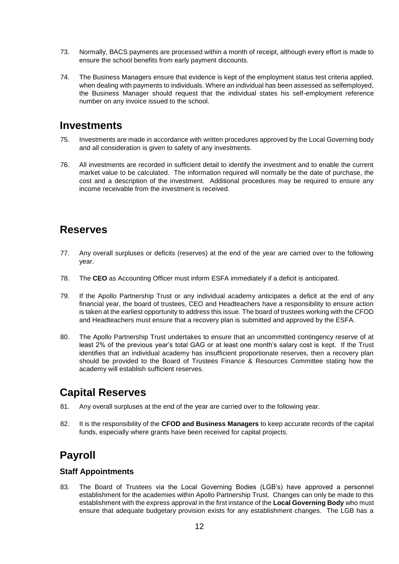- 73. Normally, BACS payments are processed within a month of receipt, although every effort is made to ensure the school benefits from early payment discounts.
- 74. The Business Managers ensure that evidence is kept of the employment status test criteria applied, when dealing with payments to individuals. Where an individual has been assessed as selfemployed, the Business Manager should request that the individual states his self-employment reference number on any invoice issued to the school.

### <span id="page-12-0"></span>**Investments**

- 75. Investments are made in accordance with written procedures approved by the Local Governing body and all consideration is given to safety of any investments.
- 76. All investments are recorded in sufficient detail to identify the investment and to enable the current market value to be calculated. The information required will normally be the date of purchase, the cost and a description of the investment. Additional procedures may be required to ensure any income receivable from the investment is received.

### <span id="page-12-1"></span>**Reserves**

- 77. Any overall surpluses or deficits (reserves) at the end of the year are carried over to the following year.
- 78. The **CEO** as Accounting Officer must inform ESFA immediately if a deficit is anticipated.
- 79. If the Apollo Partnership Trust or any individual academy anticipates a deficit at the end of any financial year, the board of trustees, CEO and Headteachers have a responsibility to ensure action is taken at the earliest opportunity to address this issue. The board of trustees working with the CFOD and Headteachers must ensure that a recovery plan is submitted and approved by the ESFA.
- 80. The Apollo Partnership Trust undertakes to ensure that an uncommitted contingency reserve of at least 2% of the previous year's total GAG or at least one month's salary cost is kept. If the Trust identifies that an individual academy has insufficient proportionate reserves, then a recovery plan should be provided to the Board of Trustees Finance & Resources Committee stating how the academy will establish sufficient reserves.

### <span id="page-12-2"></span>**Capital Reserves**

- 81. Any overall surpluses at the end of the year are carried over to the following year.
- 82. It is the responsibility of the **CFOD and Business Managers** to keep accurate records of the capital funds, especially where grants have been received for capital projects.

### <span id="page-12-3"></span>**Payroll**

### <span id="page-12-4"></span>**Staff Appointments**

83. The Board of Trustees via the Local Governing Bodies (LGB's) have approved a personnel establishment for the academies within Apollo Partnership Trust. Changes can only be made to this establishment with the express approval in the first instance of the **Local Governing Body** who must ensure that adequate budgetary provision exists for any establishment changes. The LGB has a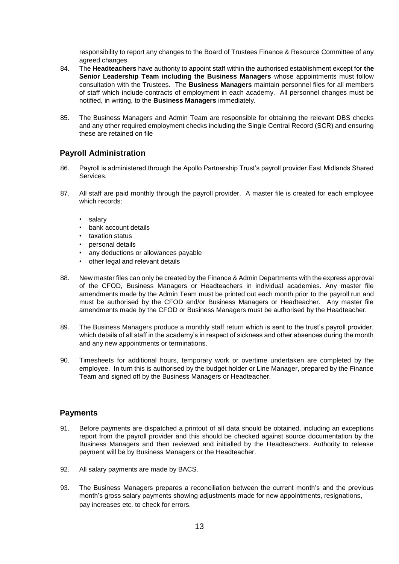responsibility to report any changes to the Board of Trustees Finance & Resource Committee of any agreed changes.

- 84. The **Headteachers** have authority to appoint staff within the authorised establishment except for **the Senior Leadership Team including the Business Managers** whose appointments must follow consultation with the Trustees. The **Business Managers** maintain personnel files for all members of staff which include contracts of employment in each academy. All personnel changes must be notified, in writing, to the **Business Managers** immediately.
- 85. The Business Managers and Admin Team are responsible for obtaining the relevant DBS checks and any other required employment checks including the Single Central Record (SCR) and ensuring these are retained on file

### <span id="page-13-0"></span>**Payroll Administration**

- 86. Payroll is administered through the Apollo Partnership Trust's payroll provider East Midlands Shared Services.
- 87. All staff are paid monthly through the payroll provider. A master file is created for each employee which records:
	- salary
	- bank account details
	- taxation status
	- personal details
	- any deductions or allowances payable
	- other legal and relevant details
- 88. New master files can only be created by the Finance & Admin Departments with the express approval of the CFOD, Business Managers or Headteachers in individual academies. Any master file amendments made by the Admin Team must be printed out each month prior to the payroll run and must be authorised by the CFOD and/or Business Managers or Headteacher. Any master file amendments made by the CFOD or Business Managers must be authorised by the Headteacher.
- 89. The Business Managers produce a monthly staff return which is sent to the trust's payroll provider, which details of all staff in the academy's in respect of sickness and other absences during the month and any new appointments or terminations.
- 90. Timesheets for additional hours, temporary work or overtime undertaken are completed by the employee. In turn this is authorised by the budget holder or Line Manager, prepared by the Finance Team and signed off by the Business Managers or Headteacher.

### <span id="page-13-1"></span>**Payments**

- 91. Before payments are dispatched a printout of all data should be obtained, including an exceptions report from the payroll provider and this should be checked against source documentation by the Business Managers and then reviewed and initialled by the Headteachers. Authority to release payment will be by Business Managers or the Headteacher.
- 92. All salary payments are made by BACS.
- 93. The Business Managers prepares a reconciliation between the current month's and the previous month's gross salary payments showing adjustments made for new appointments, resignations, pay increases etc. to check for errors.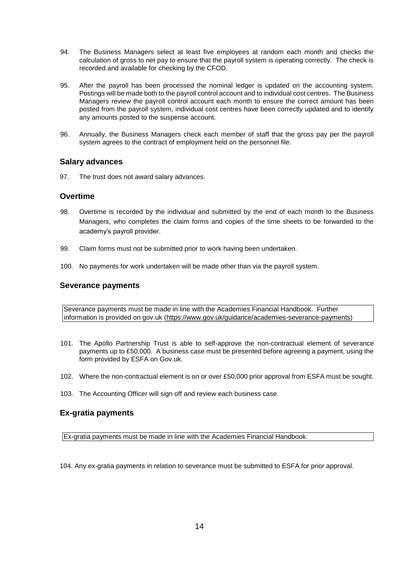- 94. The Business Managers select at least five employees at random each month and checks the calculation of gross to net pay to ensure that the payroll system is operating correctly. The check is recorded and available for checking by the CFOD.
- 95. After the payroll has been processed the nominal ledger is updated on the accounting system. Postings will be made both to the payroll control account and to individual cost centres. The Business Managers review the payroll control account each month to ensure the correct amount has been posted from the payroll system, individual cost centres have been correctly updated and to identify any amounts posted to the suspense account.
- 96. Annually, the Business Managers check each member of staff that the gross pay per the payroll system agrees to the contract of employment held on the personnel file.

### <span id="page-14-0"></span>**Salary advances**

97. The trust does not award salary advances.

### <span id="page-14-1"></span>**Overtime**

- 98. Overtime is recorded by the individual and submitted by the end of each month to the Business Managers, who completes the claim forms and copies of the time sheets to be forwarded to the academy's payroll provider.
- 99. Claim forms must not be submitted prior to work having been undertaken.
- 100. No payments for work undertaken will be made other than via the payroll system.

#### <span id="page-14-2"></span>**Severance payments**

Severance payments must be made in line with the Academies Financial Handbook. Further information is provided on gov.uk [\(https://www.gov.uk/guidance/academies-severance-payments\)](https://www.gov.uk/guidance/academies-severance-payments)

- 101. The Apollo Partnership Trust is able to self-approve the non-contractual element of severance payments up to £50,000. A business case must be presented before agreeing a payment, using the form provided by ESFA on Gov.uk.
- 102. Where the non-contractual element is on or over £50,000 prior approval from ESFA must be sought.
- 103. The Accounting Officer will sign off and review each business case.

### <span id="page-14-3"></span>**Ex-gratia payments**

Ex-gratia payments must be made in line with the Academies Financial Handbook.

104. Any ex-gratia payments in relation to severance must be submitted to ESFA for prior approval.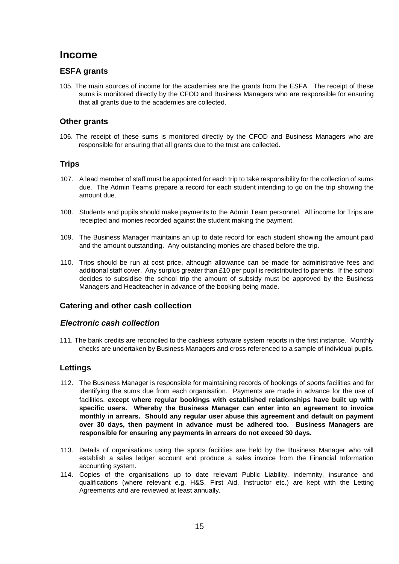### <span id="page-15-0"></span>**Income**

### <span id="page-15-1"></span>**ESFA grants**

105. The main sources of income for the academies are the grants from the ESFA. The receipt of these sums is monitored directly by the CFOD and Business Managers who are responsible for ensuring that all grants due to the academies are collected.

### <span id="page-15-2"></span>**Other grants**

106. The receipt of these sums is monitored directly by the CFOD and Business Managers who are responsible for ensuring that all grants due to the trust are collected.

### <span id="page-15-3"></span>**Trips**

- 107. A lead member of staff must be appointed for each trip to take responsibility for the collection of sums due. The Admin Teams prepare a record for each student intending to go on the trip showing the amount due.
- 108. Students and pupils should make payments to the Admin Team personnel. All income for Trips are receipted and monies recorded against the student making the payment.
- 109. The Business Manager maintains an up to date record for each student showing the amount paid and the amount outstanding. Any outstanding monies are chased before the trip.
- 110. Trips should be run at cost price, although allowance can be made for administrative fees and additional staff cover. Any surplus greater than £10 per pupil is redistributed to parents. If the school decides to subsidise the school trip the amount of subsidy must be approved by the Business Managers and Headteacher in advance of the booking being made.

### <span id="page-15-4"></span>**Catering and other cash collection**

### *Electronic cash collection*

111. The bank credits are reconciled to the cashless software system reports in the first instance. Monthly checks are undertaken by Business Managers and cross referenced to a sample of individual pupils.

### <span id="page-15-5"></span>**Lettings**

- 112. The Business Manager is responsible for maintaining records of bookings of sports facilities and for identifying the sums due from each organisation. Payments are made in advance for the use of facilities, **except where regular bookings with established relationships have built up with specific users. Whereby the Business Manager can enter into an agreement to invoice monthly in arrears. Should any regular user abuse this agreement and default on payment over 30 days, then payment in advance must be adhered too. Business Managers are responsible for ensuring any payments in arrears do not exceed 30 days.**
- 113. Details of organisations using the sports facilities are held by the Business Manager who will establish a sales ledger account and produce a sales invoice from the Financial Information accounting system.
- 114. Copies of the organisations up to date relevant Public Liability, indemnity, insurance and qualifications (where relevant e.g. H&S, First Aid, Instructor etc.) are kept with the Letting Agreements and are reviewed at least annually.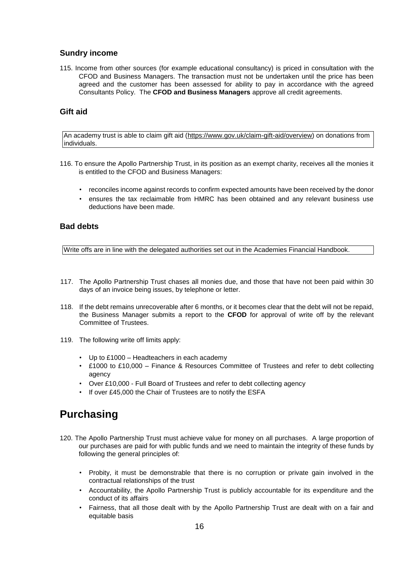### <span id="page-16-0"></span>**Sundry income**

115. Income from other sources (for example educational consultancy) is priced in consultation with the CFOD and Business Managers. The transaction must not be undertaken until the price has been agreed and the customer has been assessed for ability to pay in accordance with the agreed Consultants Policy. The **CFOD and Business Managers** approve all credit agreements.

### <span id="page-16-1"></span>**Gift aid**

An academy trust is able to claim gift aid [\(https://www.gov.uk/claim-gift-aid/overview\)](https://www.gov.uk/claim-gift-aid/overview) on donations from individuals.

- 116. To ensure the Apollo Partnership Trust, in its position as an exempt charity, receives all the monies it is entitled to the CFOD and Business Managers:
	- reconciles income against records to confirm expected amounts have been received by the donor
	- ensures the tax reclaimable from HMRC has been obtained and any relevant business use deductions have been made.

### <span id="page-16-2"></span>**Bad debts**

Write offs are in line with the delegated authorities set out in the Academies Financial Handbook.

- 117. The Apollo Partnership Trust chases all monies due, and those that have not been paid within 30 days of an invoice being issues, by telephone or letter.
- 118. If the debt remains unrecoverable after 6 months, or it becomes clear that the debt will not be repaid, the Business Manager submits a report to the **CFOD** for approval of write off by the relevant Committee of Trustees.
- 119. The following write off limits apply:
	- Up to £1000 Headteachers in each academy
	- £1000 to £10,000 Finance & Resources Committee of Trustees and refer to debt collecting agency
	- Over £10,000 Full Board of Trustees and refer to debt collecting agency
	- If over £45,000 the Chair of Trustees are to notify the ESFA

### <span id="page-16-3"></span>**Purchasing**

- 120. The Apollo Partnership Trust must achieve value for money on all purchases. A large proportion of our purchases are paid for with public funds and we need to maintain the integrity of these funds by following the general principles of:
	- Probity, it must be demonstrable that there is no corruption or private gain involved in the contractual relationships of the trust
	- Accountability, the Apollo Partnership Trust is publicly accountable for its expenditure and the conduct of its affairs
	- Fairness, that all those dealt with by the Apollo Partnership Trust are dealt with on a fair and equitable basis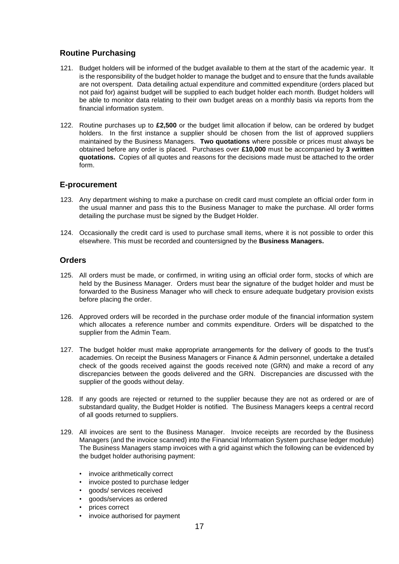### <span id="page-17-0"></span>**Routine Purchasing**

- 121. Budget holders will be informed of the budget available to them at the start of the academic year. It is the responsibility of the budget holder to manage the budget and to ensure that the funds available are not overspent. Data detailing actual expenditure and committed expenditure (orders placed but not paid for) against budget will be supplied to each budget holder each month. Budget holders will be able to monitor data relating to their own budget areas on a monthly basis via reports from the financial information system.
- 122. Routine purchases up to **£2,500** or the budget limit allocation if below, can be ordered by budget holders. In the first instance a supplier should be chosen from the list of approved suppliers maintained by the Business Managers. **Two quotations** where possible or prices must always be obtained before any order is placed. Purchases over **£10,000** must be accompanied by **3 written quotations.** Copies of all quotes and reasons for the decisions made must be attached to the order form.

### <span id="page-17-1"></span>**E-procurement**

- 123. Any department wishing to make a purchase on credit card must complete an official order form in the usual manner and pass this to the Business Manager to make the purchase. All order forms detailing the purchase must be signed by the Budget Holder.
- 124. Occasionally the credit card is used to purchase small items, where it is not possible to order this elsewhere. This must be recorded and countersigned by the **Business Managers.**

### <span id="page-17-2"></span>**Orders**

- 125. All orders must be made, or confirmed, in writing using an official order form, stocks of which are held by the Business Manager. Orders must bear the signature of the budget holder and must be forwarded to the Business Manager who will check to ensure adequate budgetary provision exists before placing the order.
- 126. Approved orders will be recorded in the purchase order module of the financial information system which allocates a reference number and commits expenditure. Orders will be dispatched to the supplier from the Admin Team.
- 127. The budget holder must make appropriate arrangements for the delivery of goods to the trust's academies. On receipt the Business Managers or Finance & Admin personnel, undertake a detailed check of the goods received against the goods received note (GRN) and make a record of any discrepancies between the goods delivered and the GRN. Discrepancies are discussed with the supplier of the goods without delay.
- 128. If any goods are rejected or returned to the supplier because they are not as ordered or are of substandard quality, the Budget Holder is notified. The Business Managers keeps a central record of all goods returned to suppliers.
- 129. All invoices are sent to the Business Manager. Invoice receipts are recorded by the Business Managers (and the invoice scanned) into the Financial Information System purchase ledger module) The Business Managers stamp invoices with a grid against which the following can be evidenced by the budget holder authorising payment:
	- invoice arithmetically correct
	- invoice posted to purchase ledger
	- goods/ services received
	- goods/services as ordered
	- prices correct
	- invoice authorised for payment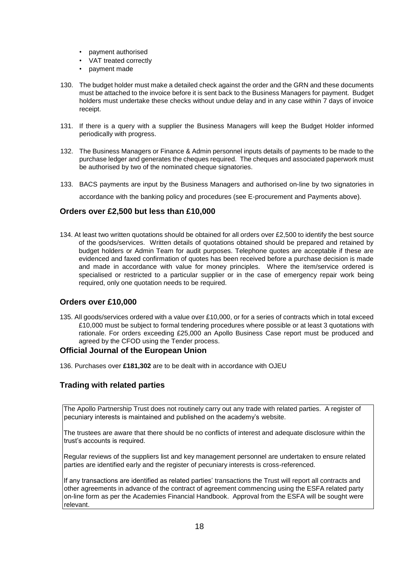- payment authorised
- VAT treated correctly
- payment made
- 130. The budget holder must make a detailed check against the order and the GRN and these documents must be attached to the invoice before it is sent back to the Business Managers for payment. Budget holders must undertake these checks without undue delay and in any case within 7 days of invoice receipt.
- 131. If there is a query with a supplier the Business Managers will keep the Budget Holder informed periodically with progress.
- 132. The Business Managers or Finance & Admin personnel inputs details of payments to be made to the purchase ledger and generates the cheques required. The cheques and associated paperwork must be authorised by two of the nominated cheque signatories.
- 133. BACS payments are input by the Business Managers and authorised on-line by two signatories in accordance with the banking policy and procedures (see E-procurement and Payments above).

### <span id="page-18-0"></span>**Orders over £2,500 but less than £10,000**

134. At least two written quotations should be obtained for all orders over £2,500 to identify the best source of the goods/services. Written details of quotations obtained should be prepared and retained by budget holders or Admin Team for audit purposes. Telephone quotes are acceptable if these are evidenced and faxed confirmation of quotes has been received before a purchase decision is made and made in accordance with value for money principles. Where the item/service ordered is specialised or restricted to a particular supplier or in the case of emergency repair work being required, only one quotation needs to be required.

### <span id="page-18-1"></span>**Orders over £10,000**

135. All goods/services ordered with a value over £10,000, or for a series of contracts which in total exceed £10,000 must be subject to formal tendering procedures where possible or at least 3 quotations with rationale. For orders exceeding £25,000 an Apollo Business Case report must be produced and agreed by the CFOD using the Tender process.

### <span id="page-18-2"></span>**Official Journal of the European Union**

136. Purchases over **£181,302** are to be dealt with in accordance with OJEU

### <span id="page-18-3"></span>**Trading with related parties**

The Apollo Partnership Trust does not routinely carry out any trade with related parties. A register of pecuniary interests is maintained and published on the academy's website.

The trustees are aware that there should be no conflicts of interest and adequate disclosure within the trust's accounts is required.

Regular reviews of the suppliers list and key management personnel are undertaken to ensure related parties are identified early and the register of pecuniary interests is cross-referenced.

If any transactions are identified as related parties' transactions the Trust will report all contracts and other agreements in advance of the contract of agreement commencing using the ESFA related party on-line form as per the Academies Financial Handbook. Approval from the ESFA will be sought were relevant.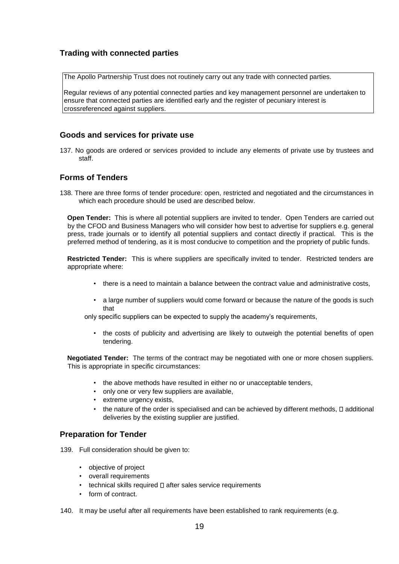### <span id="page-19-0"></span>**Trading with connected parties**

The Apollo Partnership Trust does not routinely carry out any trade with connected parties.

Regular reviews of any potential connected parties and key management personnel are undertaken to ensure that connected parties are identified early and the register of pecuniary interest is crossreferenced against suppliers.

### <span id="page-19-1"></span>**Goods and services for private use**

137. No goods are ordered or services provided to include any elements of private use by trustees and staff.

### <span id="page-19-2"></span>**Forms of Tenders**

138. There are three forms of tender procedure: open, restricted and negotiated and the circumstances in which each procedure should be used are described below.

**Open Tender:** This is where all potential suppliers are invited to tender. Open Tenders are carried out by the CFOD and Business Managers who will consider how best to advertise for suppliers e.g. general press, trade journals or to identify all potential suppliers and contact directly if practical. This is the preferred method of tendering, as it is most conducive to competition and the propriety of public funds.

**Restricted Tender:** This is where suppliers are specifically invited to tender. Restricted tenders are appropriate where:

- there is a need to maintain a balance between the contract value and administrative costs,
- a large number of suppliers would come forward or because the nature of the goods is such that

only specific suppliers can be expected to supply the academy's requirements,

• the costs of publicity and advertising are likely to outweigh the potential benefits of open tendering.

**Negotiated Tender:** The terms of the contract may be negotiated with one or more chosen suppliers. This is appropriate in specific circumstances:

- the above methods have resulted in either no or unacceptable tenders,
- only one or very few suppliers are available,
- extreme urgency exists,
- the nature of the order is specialised and can be achieved by different methods.  $\square$  additional deliveries by the existing supplier are justified.

### <span id="page-19-3"></span>**Preparation for Tender**

139. Full consideration should be given to:

- objective of project
- overall requirements
- $\cdot$  technical skills required  $\Box$  after sales service requirements
- form of contract.
- 140. It may be useful after all requirements have been established to rank requirements (e.g.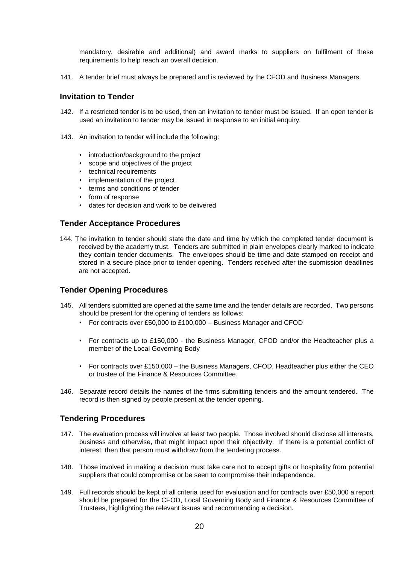mandatory, desirable and additional) and award marks to suppliers on fulfilment of these requirements to help reach an overall decision.

141. A tender brief must always be prepared and is reviewed by the CFOD and Business Managers.

### <span id="page-20-0"></span>**Invitation to Tender**

- 142. If a restricted tender is to be used, then an invitation to tender must be issued. If an open tender is used an invitation to tender may be issued in response to an initial enquiry.
- 143. An invitation to tender will include the following:
	- introduction/background to the project
	- scope and objectives of the project
	- technical requirements
	- implementation of the project
	- terms and conditions of tender
	- form of response
	- dates for decision and work to be delivered

#### <span id="page-20-1"></span>**Tender Acceptance Procedures**

144. The invitation to tender should state the date and time by which the completed tender document is received by the academy trust. Tenders are submitted in plain envelopes clearly marked to indicate they contain tender documents. The envelopes should be time and date stamped on receipt and stored in a secure place prior to tender opening. Tenders received after the submission deadlines are not accepted.

### <span id="page-20-2"></span>**Tender Opening Procedures**

- 145. All tenders submitted are opened at the same time and the tender details are recorded. Two persons should be present for the opening of tenders as follows:
	- For contracts over £50,000 to £100,000 Business Manager and CFOD
	- For contracts up to £150,000 the Business Manager, CFOD and/or the Headteacher plus a member of the Local Governing Body
	- For contracts over £150,000 the Business Managers, CFOD, Headteacher plus either the CEO or trustee of the Finance & Resources Committee.
- 146. Separate record details the names of the firms submitting tenders and the amount tendered. The record is then signed by people present at the tender opening.

### <span id="page-20-3"></span>**Tendering Procedures**

- 147. The evaluation process will involve at least two people. Those involved should disclose all interests, business and otherwise, that might impact upon their objectivity. If there is a potential conflict of interest, then that person must withdraw from the tendering process.
- 148. Those involved in making a decision must take care not to accept gifts or hospitality from potential suppliers that could compromise or be seen to compromise their independence.
- 149. Full records should be kept of all criteria used for evaluation and for contracts over £50,000 a report should be prepared for the CFOD, Local Governing Body and Finance & Resources Committee of Trustees, highlighting the relevant issues and recommending a decision.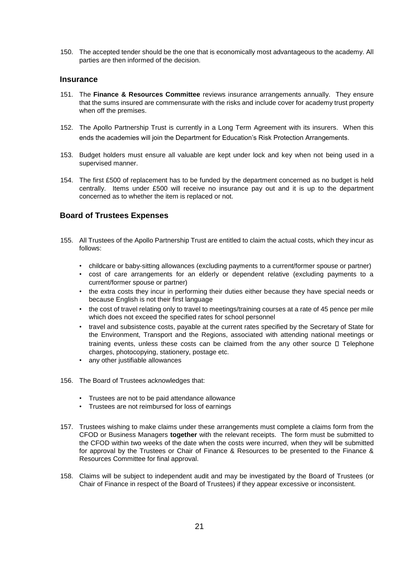150. The accepted tender should be the one that is economically most advantageous to the academy. All parties are then informed of the decision.

#### <span id="page-21-0"></span>**Insurance**

- 151. The **Finance & Resources Committee** reviews insurance arrangements annually. They ensure that the sums insured are commensurate with the risks and include cover for academy trust property when off the premises.
- 152. The Apollo Partnership Trust is currently in a Long Term Agreement with its insurers. When this ends the academies will join the Department for Education's Risk Protection Arrangements.
- 153. Budget holders must ensure all valuable are kept under lock and key when not being used in a supervised manner.
- 154. The first £500 of replacement has to be funded by the department concerned as no budget is held centrally. Items under £500 will receive no insurance pay out and it is up to the department concerned as to whether the item is replaced or not.

#### <span id="page-21-1"></span>**Board of Trustees Expenses**

- 155. All Trustees of the Apollo Partnership Trust are entitled to claim the actual costs, which they incur as follows:
	- childcare or baby-sitting allowances (excluding payments to a current/former spouse or partner)
	- cost of care arrangements for an elderly or dependent relative (excluding payments to a current/former spouse or partner)
	- the extra costs they incur in performing their duties either because they have special needs or because English is not their first language
	- the cost of travel relating only to travel to meetings/training courses at a rate of 45 pence per mile which does not exceed the specified rates for school personnel
	- travel and subsistence costs, payable at the current rates specified by the Secretary of State for the Environment, Transport and the Regions, associated with attending national meetings or training events, unless these costs can be claimed from the any other source  $\Box$  Telephone charges, photocopying, stationery, postage etc.
	- any other justifiable allowances
- 156. The Board of Trustees acknowledges that:
	- Trustees are not to be paid attendance allowance
	- Trustees are not reimbursed for loss of earnings
- 157. Trustees wishing to make claims under these arrangements must complete a claims form from the CFOD or Business Managers **together** with the relevant receipts. The form must be submitted to the CFOD within two weeks of the date when the costs were incurred, when they will be submitted for approval by the Trustees or Chair of Finance & Resources to be presented to the Finance & Resources Committee for final approval.
- 158. Claims will be subject to independent audit and may be investigated by the Board of Trustees (or Chair of Finance in respect of the Board of Trustees) if they appear excessive or inconsistent.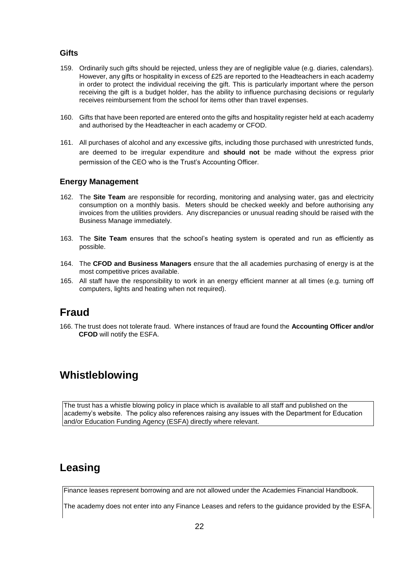### <span id="page-22-0"></span>**Gifts**

- 159. Ordinarily such gifts should be rejected, unless they are of negligible value (e.g. diaries, calendars). However, any gifts or hospitality in excess of £25 are reported to the Headteachers in each academy in order to protect the individual receiving the gift. This is particularly important where the person receiving the gift is a budget holder, has the ability to influence purchasing decisions or regularly receives reimbursement from the school for items other than travel expenses.
- 160. Gifts that have been reported are entered onto the gifts and hospitality register held at each academy and authorised by the Headteacher in each academy or CFOD.
- 161. All purchases of alcohol and any excessive gifts, including those purchased with unrestricted funds, are deemed to be irregular expenditure and **should not** be made without the express prior permission of the CEO who is the Trust's Accounting Officer.

### <span id="page-22-1"></span>**Energy Management**

- 162. The **Site Team** are responsible for recording, monitoring and analysing water, gas and electricity consumption on a monthly basis. Meters should be checked weekly and before authorising any invoices from the utilities providers. Any discrepancies or unusual reading should be raised with the Business Manage immediately.
- 163. The **Site Team** ensures that the school's heating system is operated and run as efficiently as possible.
- 164. The **CFOD and Business Managers** ensure that the all academies purchasing of energy is at the most competitive prices available.
- 165. All staff have the responsibility to work in an energy efficient manner at all times (e.g. turning off computers, lights and heating when not required).

### <span id="page-22-2"></span>**Fraud**

166. The trust does not tolerate fraud. Where instances of fraud are found the **Accounting Officer and/or CFOD** will notify the ESFA.

### <span id="page-22-3"></span>**Whistleblowing**

The trust has a whistle blowing policy in place which is available to all staff and published on the academy's website. The policy also references raising any issues with the Department for Education and/or Education Funding Agency (ESFA) directly where relevant.

### <span id="page-22-4"></span>**Leasing**

Finance leases represent borrowing and are not allowed under the Academies Financial Handbook.

The academy does not enter into any Finance Leases and refers to the guidance provided by the ESFA.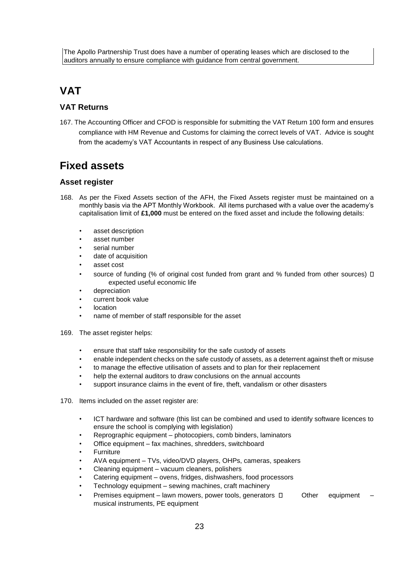# <span id="page-23-0"></span>**VAT**

### <span id="page-23-1"></span>**VAT Returns**

167. The Accounting Officer and CFOD is responsible for submitting the VAT Return 100 form and ensures compliance with HM Revenue and Customs for claiming the correct levels of VAT. Advice is sought from the academy's VAT Accountants in respect of any Business Use calculations.

# <span id="page-23-2"></span>**Fixed assets**

### <span id="page-23-3"></span>**Asset register**

- 168. As per the Fixed Assets section of the AFH, the Fixed Assets register must be maintained on a monthly basis via the APT Monthly Workbook. All items purchased with a value over the academy's capitalisation limit of **£1,000** must be entered on the fixed asset and include the following details:
	- asset description
	- asset number
	- serial number
	- date of acquisition
	- asset cost
	- source of funding (% of original cost funded from grant and % funded from other sources)  $\Box$ expected useful economic life
	- depreciation
	- current book value
	- location
	- name of member of staff responsible for the asset
- 169. The asset register helps:
	- ensure that staff take responsibility for the safe custody of assets
	- enable independent checks on the safe custody of assets, as a deterrent against theft or misuse
	- to manage the effective utilisation of assets and to plan for their replacement
	- help the external auditors to draw conclusions on the annual accounts
	- support insurance claims in the event of fire, theft, vandalism or other disasters
- 170. Items included on the asset register are:
	- ICT hardware and software (this list can be combined and used to identify software licences to ensure the school is complying with legislation)
	- Reprographic equipment photocopiers, comb binders, laminators
	- Office equipment fax machines, shredders, switchboard
	- **Furniture**
	- AVA equipment TVs, video/DVD players, OHPs, cameras, speakers
	- Cleaning equipment vacuum cleaners, polishers
	- Catering equipment ovens, fridges, dishwashers, food processors
	- Technology equipment sewing machines, craft machinery
	- Premises equipment lawn mowers, power tools, generators  $\Box$  Other equipment musical instruments, PE equipment